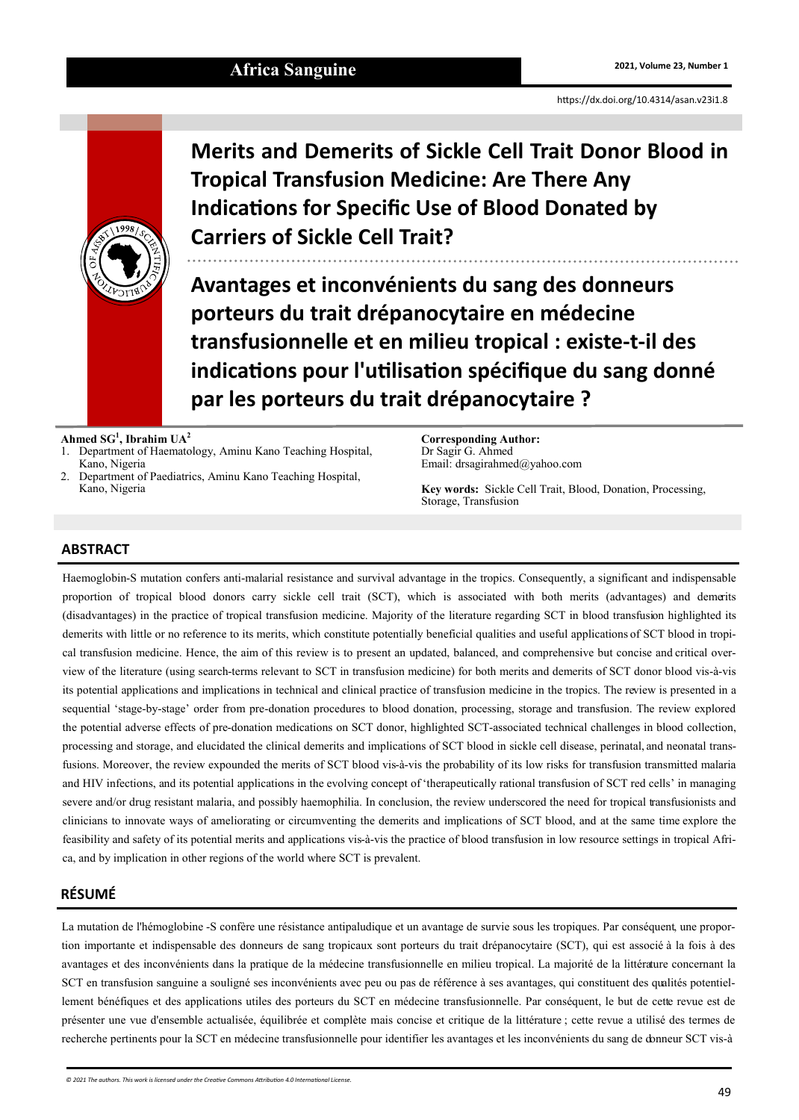<https://dx.doi.org/10.4314/asan.v23i1.8>



**Merits and Demerits of Sickle Cell Trait Donor Blood in Tropical Transfusion Medicine: Are There Any Indications for Specific Use of Blood Donated by Carriers of Sickle Cell Trait?**

**Avantages et inconvénients du sang des donneurs porteurs du trait drépanocytaire en médecine transfusionnelle et en milieu tropical : existe-t-il des indications pour l'utilisation spécifique du sang donné par les porteurs du trait drépanocytaire ?**

**Ahmed SG<sup>1</sup> , Ibrahim UA<sup>2</sup>**

- 1. Department of Haematology, Aminu Kano Teaching Hospital, Kano, Nigeria
- 2. Department of Paediatrics, Aminu Kano Teaching Hospital, Kano, Nigeria

**Corresponding Author:** Dr Sagir G. Ahmed Email: drsagirahmed@yahoo.com

**Key words:** Sickle Cell Trait, Blood, Donation, Processing, Storage, Transfusion

## **ABSTRACT**

Haemoglobin-S mutation confers anti-malarial resistance and survival advantage in the tropics. Consequently, a significant and indispensable proportion of tropical blood donors carry sickle cell trait (SCT), which is associated with both merits (advantages) and demerits (disadvantages) in the practice of tropical transfusion medicine. Majority of the literature regarding SCT in blood transfusion highlighted its demerits with little or no reference to its merits, which constitute potentially beneficial qualities and useful applications of SCT blood in tropical transfusion medicine. Hence, the aim of this review is to present an updated, balanced, and comprehensive but concise and critical overview of the literature (using search-terms relevant to SCT in transfusion medicine) for both merits and demerits of SCT donor blood vis-à-vis its potential applications and implications in technical and clinical practice of transfusion medicine in the tropics. The review is presented in a sequential 'stage-by-stage' order from pre-donation procedures to blood donation, processing, storage and transfusion. The review explored the potential adverse effects of pre-donation medications on SCT donor, highlighted SCT-associated technical challenges in blood collection, processing and storage, and elucidated the clinical demerits and implications of SCT blood in sickle cell disease, perinatal, and neonatal transfusions. Moreover, the review expounded the merits of SCT blood vis-à-vis the probability of its low risks for transfusion transmitted malaria and HIV infections, and its potential applications in the evolving concept of 'therapeutically rational transfusion of SCT red cells' in managing severe and/or drug resistant malaria, and possibly haemophilia. In conclusion, the review underscored the need for tropical transfusionists and clinicians to innovate ways of ameliorating or circumventing the demerits and implications of SCT blood, and at the same time explore the feasibility and safety of its potential merits and applications vis-à-vis the practice of blood transfusion in low resource settings in tropical Africa, and by implication in other regions of the world where SCT is prevalent.

# **RÉSUMÉ**

La mutation de l'hémoglobine -S confère une résistance antipaludique et un avantage de survie sous les tropiques. Par conséquent, une proportion importante et indispensable des donneurs de sang tropicaux sont porteurs du trait drépanocytaire (SCT), qui est associé à la fois à des avantages et des inconvénients dans la pratique de la médecine transfusionnelle en milieu tropical. La majorité de la littérature concernant la SCT en transfusion sanguine a souligné ses inconvénients avec peu ou pas de référence à ses avantages, qui constituent des qualités potentiellement bénéfiques et des applications utiles des porteurs du SCT en médecine transfusionnelle. Par conséquent, le but de cette revue est de présenter une vue d'ensemble actualisée, équilibrée et complète mais concise et critique de la littérature ; cette revue a utilisé des termes de recherche pertinents pour la SCT en médecine transfusionnelle pour identifier les avantages et les inconvénients du sang de donneur SCT vis-à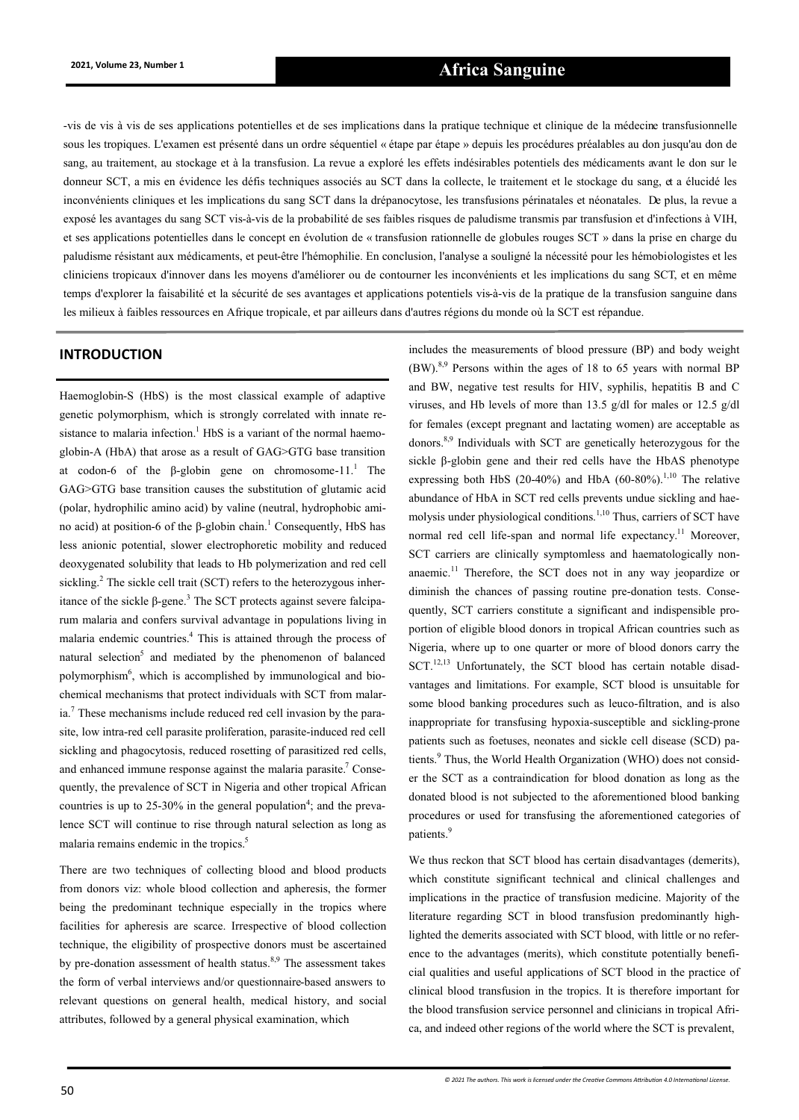# **2021, Volume 23, Number 1 Africa Sanguine**

-vis de vis à vis de ses applications potentielles et de ses implications dans la pratique technique et clinique de la médecine transfusionnelle sous les tropiques. L'examen est présenté dans un ordre séquentiel « étape par étape » depuis les procédures préalables au don jusqu'au don de sang, au traitement, au stockage et à la transfusion. La revue a exploré les effets indésirables potentiels des médicaments avant le don sur le donneur SCT, a mis en évidence les défis techniques associés au SCT dans la collecte, le traitement et le stockage du sang, et a élucidé les inconvénients cliniques et les implications du sang SCT dans la drépanocytose, les transfusions périnatales et néonatales. De plus, la revue a exposé les avantages du sang SCT vis-à-vis de la probabilité de ses faibles risques de paludisme transmis par transfusion et d'infections à VIH, et ses applications potentielles dans le concept en évolution de « transfusion rationnelle de globules rouges SCT » dans la prise en charge du paludisme résistant aux médicaments, et peut-être l'hémophilie. En conclusion, l'analyse a souligné la nécessité pour les hémobiologistes et les cliniciens tropicaux d'innover dans les moyens d'améliorer ou de contourner les inconvénients et les implications du sang SCT, et en même temps d'explorer la faisabilité et la sécurité de ses avantages et applications potentiels vis-à-vis de la pratique de la transfusion sanguine dans les milieux à faibles ressources en Afrique tropicale, et par ailleurs dans d'autres régions du monde où la SCT est répandue.

Haemoglobin-S (HbS) is the most classical example of adaptive genetic polymorphism, which is strongly correlated with innate resistance to malaria infection.<sup>1</sup> HbS is a variant of the normal haemoglobin-A (HbA) that arose as a result of GAG>GTG base transition at codon-6 of the β-globin gene on chromosome-11.<sup>1</sup> The GAG>GTG base transition causes the substitution of glutamic acid (polar, hydrophilic amino acid) by valine (neutral, hydrophobic amino acid) at position-6 of the β-globin chain.<sup>1</sup> Consequently, HbS has less anionic potential, slower electrophoretic mobility and reduced deoxygenated solubility that leads to Hb polymerization and red cell sickling.<sup>2</sup> The sickle cell trait (SCT) refers to the heterozygous inheritance of the sickle β-gene.<sup>3</sup> The SCT protects against severe falciparum malaria and confers survival advantage in populations living in malaria endemic countries.<sup>4</sup> This is attained through the process of natural selection<sup>5</sup> and mediated by the phenomenon of balanced polymorphism<sup>6</sup>, which is accomplished by immunological and biochemical mechanisms that protect individuals with SCT from malaria.<sup>7</sup> These mechanisms include reduced red cell invasion by the parasite, low intra-red cell parasite proliferation, parasite-induced red cell sickling and phagocytosis, reduced rosetting of parasitized red cells, and enhanced immune response against the malaria parasite.<sup>7</sup> Consequently, the prevalence of SCT in Nigeria and other tropical African countries is up to 25-30% in the general population<sup>4</sup>; and the prevalence SCT will continue to rise through natural selection as long as malaria remains endemic in the tropics.<sup>5</sup>

There are two techniques of collecting blood and blood products from donors viz: whole blood collection and apheresis, the former being the predominant technique especially in the tropics where facilities for apheresis are scarce. Irrespective of blood collection technique, the eligibility of prospective donors must be ascertained by pre-donation assessment of health status.<sup>8,9</sup> The assessment takes the form of verbal interviews and/or questionnaire-based answers to relevant questions on general health, medical history, and social attributes, followed by a general physical examination, which

**INTRODUCTION** includes the measurements of blood pressure (BP) and body weight  $(BW)$ .<sup>8,9</sup> Persons within the ages of 18 to 65 years with normal BP and BW, negative test results for HIV, syphilis, hepatitis B and C viruses, and Hb levels of more than 13.5 g/dl for males or 12.5 g/dl for females (except pregnant and lactating women) are acceptable as donors.8,9 Individuals with SCT are genetically heterozygous for the sickle β-globin gene and their red cells have the HbAS phenotype expressing both HbS (20-40%) and HbA (60-80%).<sup>1,10</sup> The relative abundance of HbA in SCT red cells prevents undue sickling and haemolysis under physiological conditions.1,10 Thus, carriers of SCT have normal red cell life-span and normal life expectancy.<sup>11</sup> Moreover, SCT carriers are clinically symptomless and haematologically nonanaemic.<sup>11</sup> Therefore, the SCT does not in any way jeopardize or diminish the chances of passing routine pre-donation tests. Consequently, SCT carriers constitute a significant and indispensible proportion of eligible blood donors in tropical African countries such as Nigeria, where up to one quarter or more of blood donors carry the SCT. $^{12,13}$  Unfortunately, the SCT blood has certain notable disadvantages and limitations. For example, SCT blood is unsuitable for some blood banking procedures such as leuco-filtration, and is also inappropriate for transfusing hypoxia-susceptible and sickling-prone patients such as foetuses, neonates and sickle cell disease (SCD) patients.<sup>9</sup> Thus, the World Health Organization (WHO) does not consider the SCT as a contraindication for blood donation as long as the donated blood is not subjected to the aforementioned blood banking procedures or used for transfusing the aforementioned categories of patients.<sup>9</sup>

> We thus reckon that SCT blood has certain disadvantages (demerits), which constitute significant technical and clinical challenges and implications in the practice of transfusion medicine. Majority of the literature regarding SCT in blood transfusion predominantly highlighted the demerits associated with SCT blood, with little or no reference to the advantages (merits), which constitute potentially beneficial qualities and useful applications of SCT blood in the practice of clinical blood transfusion in the tropics. It is therefore important for the blood transfusion service personnel and clinicians in tropical Africa, and indeed other regions of the world where the SCT is prevalent,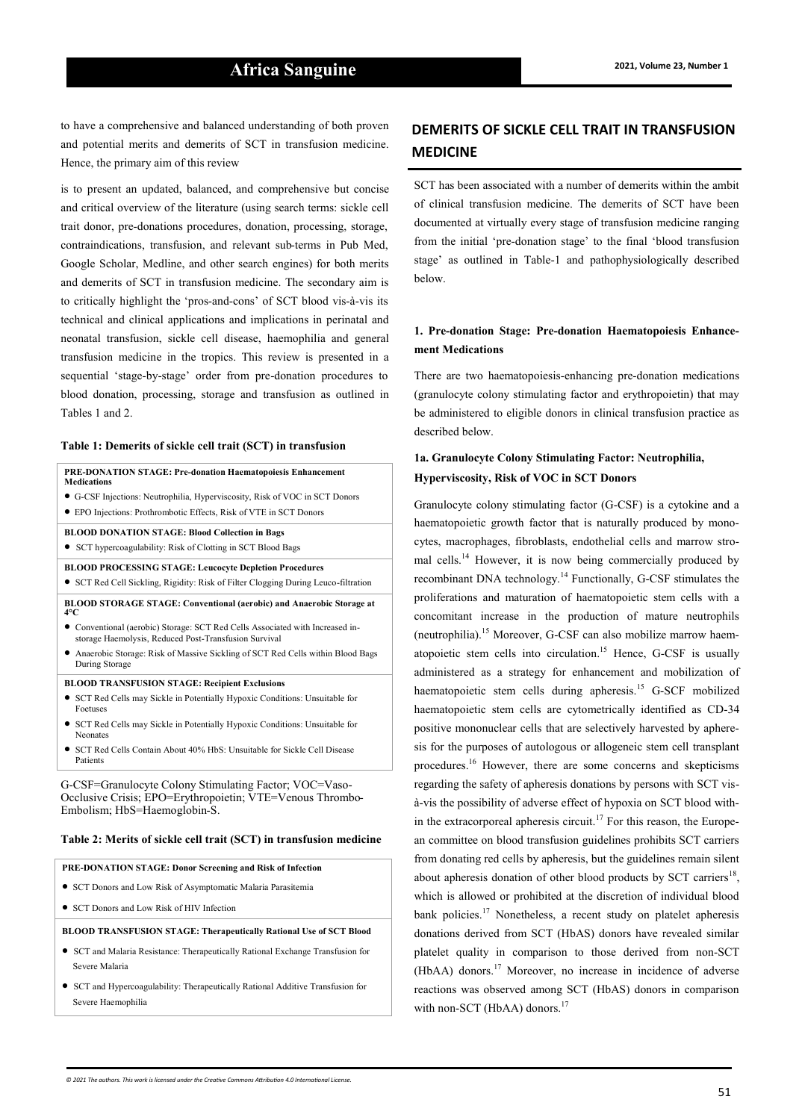to have a comprehensive and balanced understanding of both proven and potential merits and demerits of SCT in transfusion medicine. Hence, the primary aim of this review

is to present an updated, balanced, and comprehensive but concise and critical overview of the literature (using search terms: sickle cell trait donor, pre-donations procedures, donation, processing, storage, contraindications, transfusion, and relevant sub-terms in Pub Med, Google Scholar, Medline, and other search engines) for both merits and demerits of SCT in transfusion medicine. The secondary aim is to critically highlight the 'pros-and-cons' of SCT blood vis-à-vis its technical and clinical applications and implications in perinatal and neonatal transfusion, sickle cell disease, haemophilia and general transfusion medicine in the tropics. This review is presented in a sequential 'stage-by-stage' order from pre-donation procedures to blood donation, processing, storage and transfusion as outlined in Tables 1 and 2.

#### **Table 1: Demerits of sickle cell trait (SCT) in transfusion**

#### **PRE-DONATION STAGE: Pre-donation Haematopoiesis Enhancement Medications** • <sup>G</sup>-CSF Injections: Neutrophilia, Hyperviscosity, Risk of VOC in SCT Donors • EPO Injections: Prothrombotic Effects, Risk of VTE in SCT Donors

**BLOOD DONATION STAGE: Blood Collection in Bags**

- SCT hypercoagulability: Risk of Clotting in SCT Blood Bags
- **BLOOD PROCESSING STAGE: Leucocyte Depletion Procedures**

• SCT Red Cell Sickling, Rigidity: Risk of Filter Clogging During Leuco-filtration

- **BLOOD STORAGE STAGE: Conventional (aerobic) and Anaerobic Storage at 4°C**
- Conventional (aerobic) Storage: SCT Red Cells Associated with Increased instorage Haemolysis, Reduced Post-Transfusion Survival
- Anaerobic Storage: Risk of Massive Sickling of SCT Red Cells within Blood Bags During Storage

#### **BLOOD TRANSFUSION STAGE: Recipient Exclusions**

- SCT Red Cells may Sickle in Potentially Hypoxic Conditions: Unsuitable for Foetuses
- SCT Red Cells may Sickle in Potentially Hypoxic Conditions: Unsuitable for Neonates
- SCT Red Cells Contain About 40% HbS: Unsuitable for Sickle Cell Disease Patients

G-CSF=Granulocyte Colony Stimulating Factor; VOC=Vaso-Occlusive Crisis; EPO=Erythropoietin; VTE=Venous Thrombo-Embolism; HbS=Haemoglobin-S.

#### **Table 2: Merits of sickle cell trait (SCT) in transfusion medicine**

#### **PRE-DONATION STAGE: Donor Screening and Risk of Infection**

- SCT Donors and Low Risk of Asymptomatic Malaria Parasitemia
- SCT Donors and Low Risk of HIV Infection

**BLOOD TRANSFUSION STAGE: Therapeutically Rational Use of SCT Blood**

- SCT and Malaria Resistance: Therapeutically Rational Exchange Transfusion for Severe Malaria
- SCT and Hypercoagulability: Therapeutically Rational Additive Transfusion for Severe Haemophilia

# **DEMERITS OF SICKLE CELL TRAIT IN TRANSFUSION MEDICINE**

SCT has been associated with a number of demerits within the ambit of clinical transfusion medicine. The demerits of SCT have been documented at virtually every stage of transfusion medicine ranging from the initial 'pre-donation stage' to the final 'blood transfusion stage' as outlined in Table-1 and pathophysiologically described below.

#### **1. Pre-donation Stage: Pre-donation Haematopoiesis Enhancement Medications**

There are two haematopoiesis-enhancing pre-donation medications (granulocyte colony stimulating factor and erythropoietin) that may be administered to eligible donors in clinical transfusion practice as described below.

#### **1a. Granulocyte Colony Stimulating Factor: Neutrophilia, Hyperviscosity, Risk of VOC in SCT Donors**

Granulocyte colony stimulating factor (G-CSF) is a cytokine and a haematopoietic growth factor that is naturally produced by monocytes, macrophages, fibroblasts, endothelial cells and marrow stromal cells.<sup>14</sup> However, it is now being commercially produced by recombinant DNA technology.<sup>14</sup> Functionally, G-CSF stimulates the proliferations and maturation of haematopoietic stem cells with a concomitant increase in the production of mature neutrophils (neutrophilia).<sup>15</sup> Moreover, G-CSF can also mobilize marrow haematopoietic stem cells into circulation.<sup>15</sup> Hence, G-CSF is usually administered as a strategy for enhancement and mobilization of haematopoietic stem cells during apheresis.<sup>15</sup> G-SCF mobilized haematopoietic stem cells are cytometrically identified as CD-34 positive mononuclear cells that are selectively harvested by apheresis for the purposes of autologous or allogeneic stem cell transplant procedures.<sup>16</sup> However, there are some concerns and skepticisms regarding the safety of apheresis donations by persons with SCT visà-vis the possibility of adverse effect of hypoxia on SCT blood within the extracorporeal apheresis circuit.<sup>17</sup> For this reason, the European committee on blood transfusion guidelines prohibits SCT carriers from donating red cells by apheresis, but the guidelines remain silent about apheresis donation of other blood products by SCT carriers<sup>18</sup>, which is allowed or prohibited at the discretion of individual blood bank policies.<sup>17</sup> Nonetheless, a recent study on platelet apheresis donations derived from SCT (HbAS) donors have revealed similar platelet quality in comparison to those derived from non-SCT (HbAA) donors.<sup>17</sup> Moreover, no increase in incidence of adverse reactions was observed among SCT (HbAS) donors in comparison with non-SCT (HbAA) donors.<sup>17</sup>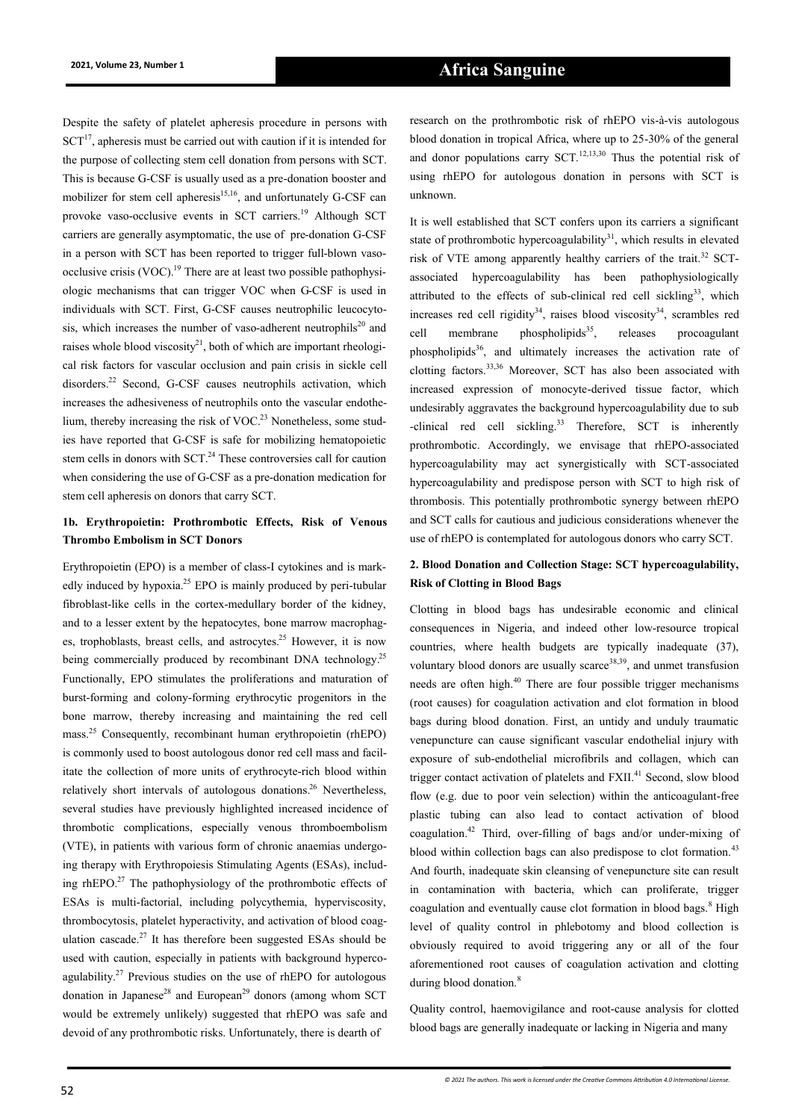Despite the safety of platelet apheresis procedure in persons with  $SCT<sup>17</sup>$ , apheresis must be carried out with caution if it is intended for the purpose of collecting stem cell donation from persons with SCT. This is because G-CSF is usually used as a pre-donation booster and mobilizer for stem cell apheresis $15,16$ , and unfortunately G-CSF can provoke vaso-occlusive events in SCT carriers.<sup>19</sup> Although SCT carriers are generally asymptomatic, the use of pre-donation G-CSF in a person with SCT has been reported to trigger full-blown vasoocclusive crisis  $(VOC)$ .<sup>19</sup> There are at least two possible pathophysiologic mechanisms that can trigger VOC when G-CSF is used in individuals with SCT. First, G-CSF causes neutrophilic leucocytosis, which increases the number of vaso-adherent neutrophils<sup>20</sup> and raises whole blood viscosity<sup>21</sup>, both of which are important rheological risk factors for vascular occlusion and pain crisis in sickle cell disorders.<sup>22</sup> Second, G-CSF causes neutrophils activation, which increases the adhesiveness of neutrophils onto the vascular endothelium, thereby increasing the risk of VOC.<sup>23</sup> Nonetheless, some studies have reported that G-CSF is safe for mobilizing hematopoietic stem cells in donors with SCT.<sup>24</sup> These controversies call for caution when considering the use of G-CSF as a pre-donation medication for stem cell apheresis on donors that carry SCT.

#### **1b. Erythropoietin: Prothrombotic Effects, Risk of Venous Thrombo Embolism in SCT Donors**

Erythropoietin (EPO) is a member of class-I cytokines and is markedly induced by hypoxia.<sup>25</sup> EPO is mainly produced by peri-tubular fibroblast-like cells in the cortex-medullary border of the kidney, and to a lesser extent by the hepatocytes, bone marrow macrophages, trophoblasts, breast cells, and astrocytes.<sup>25</sup> However, it is now being commercially produced by recombinant DNA technology.<sup>25</sup> Functionally, EPO stimulates the proliferations and maturation of burst-forming and colony-forming erythrocytic progenitors in the bone marrow, thereby increasing and maintaining the red cell mass.<sup>25</sup> Consequently, recombinant human erythropoietin (rhEPO) is commonly used to boost autologous donor red cell mass and facilitate the collection of more units of erythrocyte-rich blood within relatively short intervals of autologous donations.<sup>26</sup> Nevertheless, several studies have previously highlighted increased incidence of thrombotic complications, especially venous thromboembolism (VTE), in patients with various form of chronic anaemias undergoing therapy with Erythropoiesis Stimulating Agents (ESAs), including rhEPO.<sup>27</sup> The pathophysiology of the prothrombotic effects of ESAs is multi-factorial, including polycythemia, hyperviscosity, thrombocytosis, platelet hyperactivity, and activation of blood coagulation cascade. $27$  It has therefore been suggested ESAs should be used with caution, especially in patients with background hypercoagulability.<sup>27</sup> Previous studies on the use of rhEPO for autologous donation in Japanese<sup>28</sup> and European<sup>29</sup> donors (among whom SCT would be extremely unlikely) suggested that rhEPO was safe and devoid of any prothrombotic risks. Unfortunately, there is dearth of

research on the prothrombotic risk of rhEPO vis-à-vis autologous blood donation in tropical Africa, where up to 25-30% of the general and donor populations carry SCT.<sup>12,13,30</sup> Thus the potential risk of using rhEPO for autologous donation in persons with SCT is unknown.

It is well established that SCT confers upon its carriers a significant state of prothrombotic hypercoagulability $31$ , which results in elevated risk of VTE among apparently healthy carriers of the trait.<sup>32</sup> SCTassociated hypercoagulability has been pathophysiologically attributed to the effects of sub-clinical red cell sickling<sup>33</sup>, which increases red cell rigidity<sup>34</sup>, raises blood viscosity<sup>34</sup>, scrambles red cell membrane phospholipids $35$ , releases procoagulant phospholipids<sup>36</sup>, and ultimately increases the activation rate of clotting factors.33,36 Moreover, SCT has also been associated with increased expression of monocyte-derived tissue factor, which undesirably aggravates the background hypercoagulability due to sub -clinical red cell sickling.<sup>33</sup> Therefore, SCT is inherently prothrombotic. Accordingly, we envisage that rhEPO-associated hypercoagulability may act synergistically with SCT-associated hypercoagulability and predispose person with SCT to high risk of thrombosis. This potentially prothrombotic synergy between rhEPO and SCT calls for cautious and judicious considerations whenever the use of rhEPO is contemplated for autologous donors who carry SCT.

## **2. Blood Donation and Collection Stage: SCT hypercoagulability, Risk of Clotting in Blood Bags**

Clotting in blood bags has undesirable economic and clinical consequences in Nigeria, and indeed other low-resource tropical countries, where health budgets are typically inadequate (37), voluntary blood donors are usually scarce<sup>38,39</sup>, and unmet transfusion needs are often high.<sup>40</sup> There are four possible trigger mechanisms (root causes) for coagulation activation and clot formation in blood bags during blood donation. First, an untidy and unduly traumatic venepuncture can cause significant vascular endothelial injury with exposure of sub-endothelial microfibrils and collagen, which can trigger contact activation of platelets and FXII.<sup>41</sup> Second, slow blood flow (e.g. due to poor vein selection) within the anticoagulant-free plastic tubing can also lead to contact activation of blood coagulation.<sup>42</sup> Third, over-filling of bags and/or under-mixing of blood within collection bags can also predispose to clot formation.<sup>43</sup> And fourth, inadequate skin cleansing of venepuncture site can result in contamination with bacteria, which can proliferate, trigger coagulation and eventually cause clot formation in blood bags.<sup>8</sup> High level of quality control in phlebotomy and blood collection is obviously required to avoid triggering any or all of the four aforementioned root causes of coagulation activation and clotting during blood donation.<sup>8</sup>

Quality control, haemovigilance and root-cause analysis for clotted blood bags are generally inadequate or lacking in Nigeria and many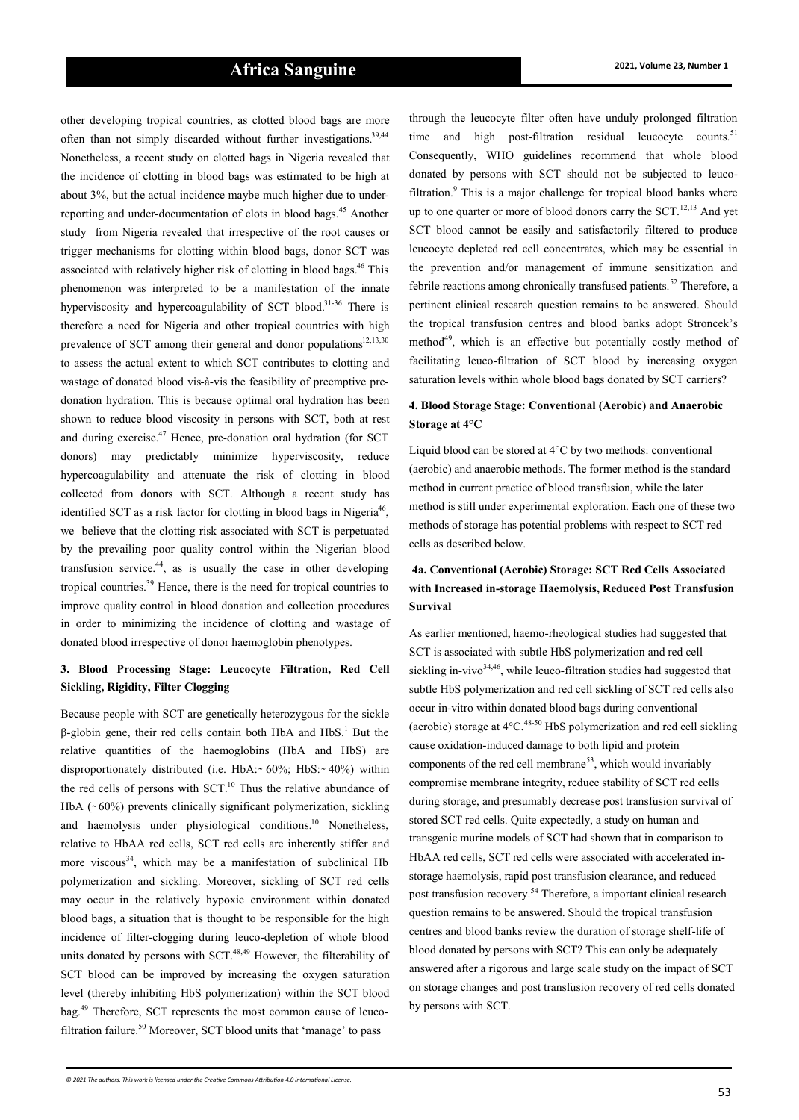other developing tropical countries, as clotted blood bags are more often than not simply discarded without further investigations.<sup>39,44</sup> Nonetheless, a recent study on clotted bags in Nigeria revealed that the incidence of clotting in blood bags was estimated to be high at about 3%, but the actual incidence maybe much higher due to underreporting and under-documentation of clots in blood bags.<sup>45</sup> Another study from Nigeria revealed that irrespective of the root causes or trigger mechanisms for clotting within blood bags, donor SCT was associated with relatively higher risk of clotting in blood bags.<sup>46</sup> This phenomenon was interpreted to be a manifestation of the innate hyperviscosity and hypercoagulability of SCT blood.<sup>31-36</sup> There is therefore a need for Nigeria and other tropical countries with high prevalence of SCT among their general and donor populations $12,13,30$ to assess the actual extent to which SCT contributes to clotting and wastage of donated blood vis-à-vis the feasibility of preemptive predonation hydration. This is because optimal oral hydration has been shown to reduce blood viscosity in persons with SCT, both at rest and during exercise. $47$  Hence, pre-donation oral hydration (for SCT) donors) may predictably minimize hyperviscosity, reduce hypercoagulability and attenuate the risk of clotting in blood collected from donors with SCT. Although a recent study has identified SCT as a risk factor for clotting in blood bags in Nigeria<sup>46</sup>, we believe that the clotting risk associated with SCT is perpetuated by the prevailing poor quality control within the Nigerian blood transfusion service.<sup>44</sup>, as is usually the case in other developing tropical countries.<sup>39</sup> Hence, there is the need for tropical countries to improve quality control in blood donation and collection procedures in order to minimizing the incidence of clotting and wastage of donated blood irrespective of donor haemoglobin phenotypes.

#### **3. Blood Processing Stage: Leucocyte Filtration, Red Cell Sickling, Rigidity, Filter Clogging**

Because people with SCT are genetically heterozygous for the sickle  $β$ -globin gene, their red cells contain both HbA and HbS.<sup>1</sup> But the relative quantities of the haemoglobins (HbA and HbS) are disproportionately distributed (i.e. HbA: $\sim 60\%$ ; HbS: $\sim 40\%$ ) within the red cells of persons with  $SCT<sup>10</sup>$ . Thus the relative abundance of HbA  $({\sim}60\%)$  prevents clinically significant polymerization, sickling and haemolysis under physiological conditions.<sup>10</sup> Nonetheless, relative to HbAA red cells, SCT red cells are inherently stiffer and more viscous<sup>34</sup>, which may be a manifestation of subclinical Hb polymerization and sickling. Moreover, sickling of SCT red cells may occur in the relatively hypoxic environment within donated blood bags, a situation that is thought to be responsible for the high incidence of filter-clogging during leuco-depletion of whole blood units donated by persons with  $SCT<sup>48,49</sup>$  However, the filterability of SCT blood can be improved by increasing the oxygen saturation level (thereby inhibiting HbS polymerization) within the SCT blood bag.<sup>49</sup> Therefore, SCT represents the most common cause of leucofiltration failure.<sup>50</sup> Moreover, SCT blood units that 'manage' to pass

through the leucocyte filter often have unduly prolonged filtration time and high post-filtration residual leucocyte counts.<sup>51</sup> Consequently, WHO guidelines recommend that whole blood donated by persons with SCT should not be subjected to leucofiltration. $9$  This is a major challenge for tropical blood banks where up to one quarter or more of blood donors carry the  $SCT$ <sup>12,13</sup> And yet SCT blood cannot be easily and satisfactorily filtered to produce leucocyte depleted red cell concentrates, which may be essential in the prevention and/or management of immune sensitization and febrile reactions among chronically transfused patients.<sup>52</sup> Therefore, a pertinent clinical research question remains to be answered. Should the tropical transfusion centres and blood banks adopt Stroncek's method<sup>49</sup>, which is an effective but potentially costly method of facilitating leuco-filtration of SCT blood by increasing oxygen saturation levels within whole blood bags donated by SCT carriers?

## **4. Blood Storage Stage: Conventional (Aerobic) and Anaerobic Storage at 4°C**

Liquid blood can be stored at 4°C by two methods: conventional (aerobic) and anaerobic methods. The former method is the standard method in current practice of blood transfusion, while the later method is still under experimental exploration. Each one of these two methods of storage has potential problems with respect to SCT red cells as described below.

## **4a. Conventional (Aerobic) Storage: SCT Red Cells Associated with Increased in-storage Haemolysis, Reduced Post Transfusion Survival**

As earlier mentioned, haemo-rheological studies had suggested that SCT is associated with subtle HbS polymerization and red cell sickling in-vivo $34,46$ , while leuco-filtration studies had suggested that subtle HbS polymerization and red cell sickling of SCT red cells also occur in-vitro within donated blood bags during conventional (aerobic) storage at  $4^{\circ}$ C.<sup>48-50</sup> HbS polymerization and red cell sickling cause oxidation-induced damage to both lipid and protein components of the red cell membrane<sup>53</sup>, which would invariably compromise membrane integrity, reduce stability of SCT red cells during storage, and presumably decrease post transfusion survival of stored SCT red cells. Quite expectedly, a study on human and transgenic murine models of SCT had shown that in comparison to HbAA red cells, SCT red cells were associated with accelerated instorage haemolysis, rapid post transfusion clearance, and reduced post transfusion recovery.<sup>54</sup> Therefore, a important clinical research question remains to be answered. Should the tropical transfusion centres and blood banks review the duration of storage shelf-life of blood donated by persons with SCT? This can only be adequately answered after a rigorous and large scale study on the impact of SCT on storage changes and post transfusion recovery of red cells donated by persons with SCT.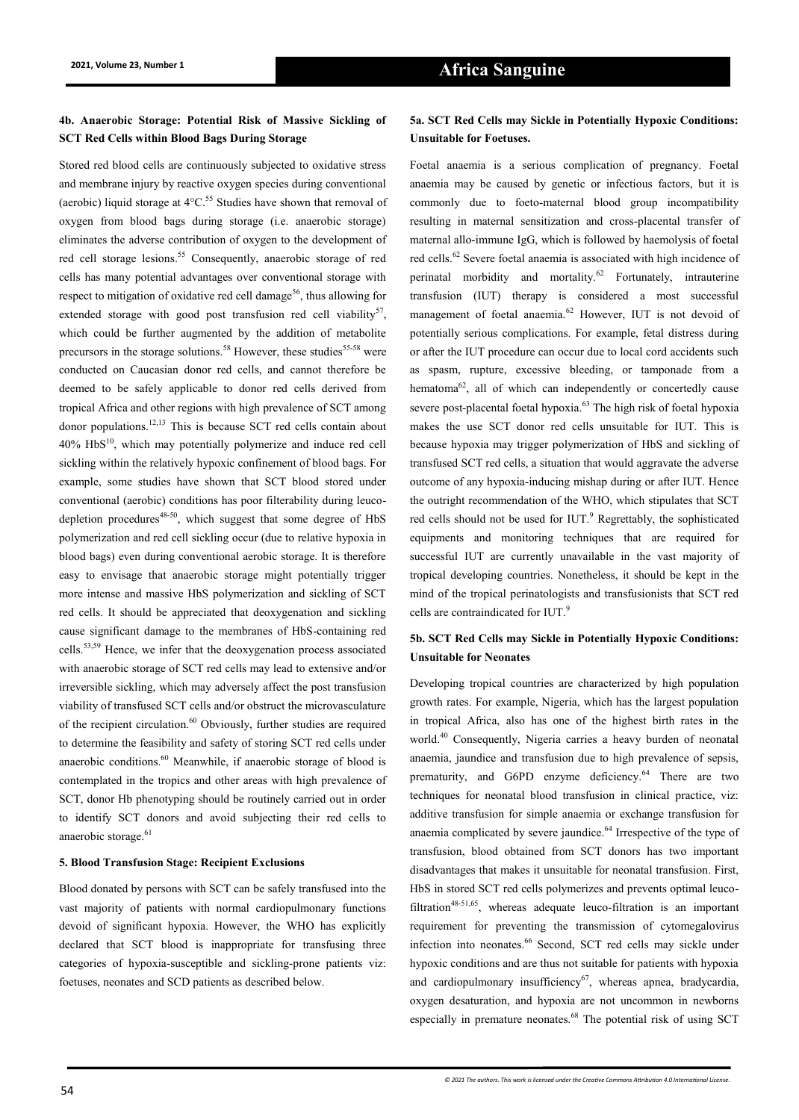## **4b. Anaerobic Storage: Potential Risk of Massive Sickling of SCT Red Cells within Blood Bags During Storage**

Stored red blood cells are continuously subjected to oxidative stress and membrane injury by reactive oxygen species during conventional (aerobic) liquid storage at  $4^{\circ}$ C.<sup>55</sup> Studies have shown that removal of oxygen from blood bags during storage (i.e. anaerobic storage) eliminates the adverse contribution of oxygen to the development of red cell storage lesions.<sup>55</sup> Consequently, anaerobic storage of red cells has many potential advantages over conventional storage with respect to mitigation of oxidative red cell damage<sup>56</sup>, thus allowing for extended storage with good post transfusion red cell viability<sup>57</sup>, which could be further augmented by the addition of metabolite precursors in the storage solutions.<sup>58</sup> However, these studies<sup>55-58</sup> were conducted on Caucasian donor red cells, and cannot therefore be deemed to be safely applicable to donor red cells derived from tropical Africa and other regions with high prevalence of SCT among donor populations.12,13 This is because SCT red cells contain about  $40\%$  HbS $^{10}$ , which may potentially polymerize and induce red cell sickling within the relatively hypoxic confinement of blood bags. For example, some studies have shown that SCT blood stored under conventional (aerobic) conditions has poor filterability during leucodepletion procedures $48-50$ , which suggest that some degree of HbS polymerization and red cell sickling occur (due to relative hypoxia in blood bags) even during conventional aerobic storage. It is therefore easy to envisage that anaerobic storage might potentially trigger more intense and massive HbS polymerization and sickling of SCT red cells. It should be appreciated that deoxygenation and sickling cause significant damage to the membranes of HbS-containing red cells.53,59 Hence, we infer that the deoxygenation process associated with anaerobic storage of SCT red cells may lead to extensive and/or irreversible sickling, which may adversely affect the post transfusion viability of transfused SCT cells and/or obstruct the microvasculature of the recipient circulation.<sup>60</sup> Obviously, further studies are required to determine the feasibility and safety of storing SCT red cells under anaerobic conditions.<sup>60</sup> Meanwhile, if anaerobic storage of blood is contemplated in the tropics and other areas with high prevalence of SCT, donor Hb phenotyping should be routinely carried out in order to identify SCT donors and avoid subjecting their red cells to anaerobic storage.<sup>61</sup>

#### **5. Blood Transfusion Stage: Recipient Exclusions**

Blood donated by persons with SCT can be safely transfused into the vast majority of patients with normal cardiopulmonary functions devoid of significant hypoxia. However, the WHO has explicitly declared that SCT blood is inappropriate for transfusing three categories of hypoxia-susceptible and sickling-prone patients viz: foetuses, neonates and SCD patients as described below.

#### **5a. SCT Red Cells may Sickle in Potentially Hypoxic Conditions: Unsuitable for Foetuses.**

Foetal anaemia is a serious complication of pregnancy. Foetal anaemia may be caused by genetic or infectious factors, but it is commonly due to foeto-maternal blood group incompatibility resulting in maternal sensitization and cross-placental transfer of maternal allo-immune IgG, which is followed by haemolysis of foetal red cells.<sup>62</sup> Severe foetal anaemia is associated with high incidence of perinatal morbidity and mortality.<sup>62</sup> Fortunately, intrauterine transfusion (IUT) therapy is considered a most successful management of foetal anaemia.<sup>62</sup> However, IUT is not devoid of potentially serious complications. For example, fetal distress during or after the IUT procedure can occur due to local cord accidents such as spasm, rupture, excessive bleeding, or tamponade from a hematoma $62$ , all of which can independently or concertedly cause severe post-placental foetal hypoxia. $63$  The high risk of foetal hypoxia makes the use SCT donor red cells unsuitable for IUT. This is because hypoxia may trigger polymerization of HbS and sickling of transfused SCT red cells, a situation that would aggravate the adverse outcome of any hypoxia-inducing mishap during or after IUT. Hence the outright recommendation of the WHO, which stipulates that SCT red cells should not be used for  $IUT$ <sup>9</sup> Regrettably, the sophisticated equipments and monitoring techniques that are required for successful IUT are currently unavailable in the vast majority of tropical developing countries. Nonetheless, it should be kept in the mind of the tropical perinatologists and transfusionists that SCT red cells are contraindicated for IUT.<sup>9</sup>

## **5b. SCT Red Cells may Sickle in Potentially Hypoxic Conditions: Unsuitable for Neonates**

Developing tropical countries are characterized by high population growth rates. For example, Nigeria, which has the largest population in tropical Africa, also has one of the highest birth rates in the world.<sup>40</sup> Consequently, Nigeria carries a heavy burden of neonatal anaemia, jaundice and transfusion due to high prevalence of sepsis, prematurity, and G6PD enzyme deficiency.<sup>64</sup> There are two techniques for neonatal blood transfusion in clinical practice, viz: additive transfusion for simple anaemia or exchange transfusion for anaemia complicated by severe jaundice. $64$  Irrespective of the type of transfusion, blood obtained from SCT donors has two important disadvantages that makes it unsuitable for neonatal transfusion. First, HbS in stored SCT red cells polymerizes and prevents optimal leucofiltration<sup>48-51,65</sup>, whereas adequate leuco-filtration is an important requirement for preventing the transmission of cytomegalovirus infection into neonates.<sup>66</sup> Second, SCT red cells may sickle under hypoxic conditions and are thus not suitable for patients with hypoxia and cardiopulmonary insufficiency $67$ , whereas apnea, bradycardia, oxygen desaturation, and hypoxia are not uncommon in newborns especially in premature neonates.<sup>68</sup> The potential risk of using SCT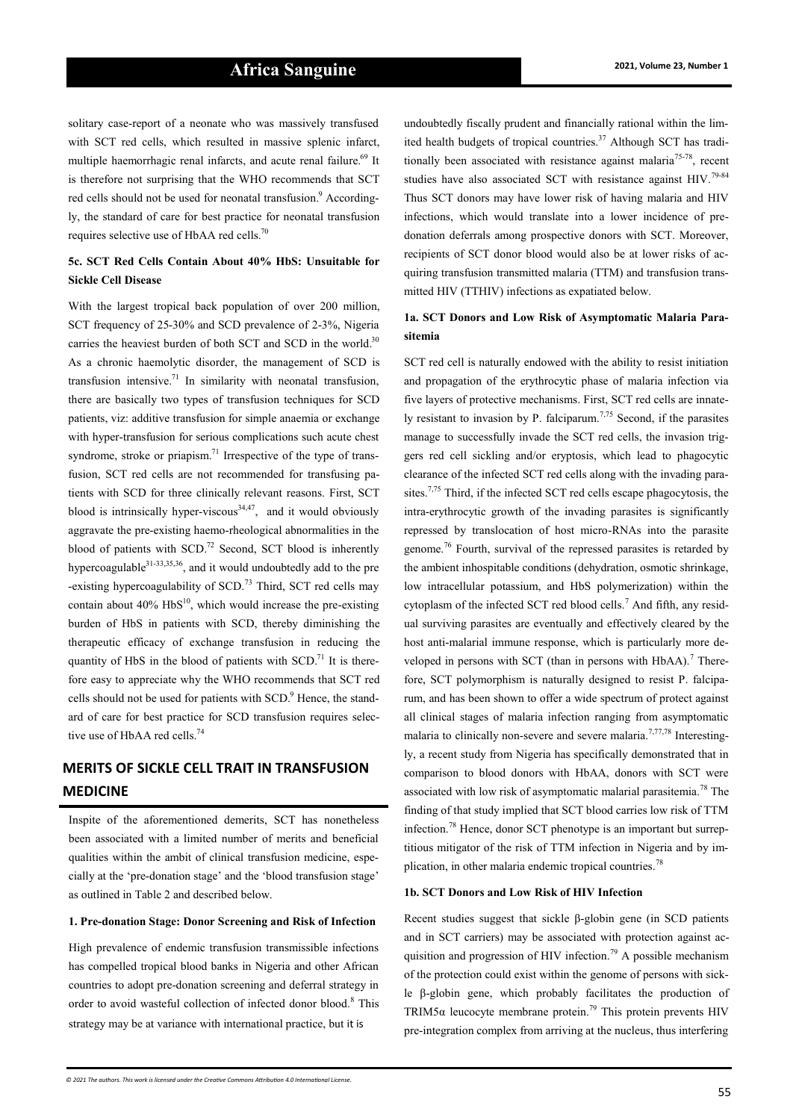solitary case-report of a neonate who was massively transfused with SCT red cells, which resulted in massive splenic infarct, multiple haemorrhagic renal infarcts, and acute renal failure.<sup>69</sup> It is therefore not surprising that the WHO recommends that SCT red cells should not be used for neonatal transfusion.<sup>9</sup> Accordingly, the standard of care for best practice for neonatal transfusion requires selective use of HbAA red cells.<sup>70</sup>

## **5c. SCT Red Cells Contain About 40% HbS: Unsuitable for Sickle Cell Disease**

With the largest tropical back population of over 200 million, SCT frequency of 25-30% and SCD prevalence of 2-3%, Nigeria carries the heaviest burden of both SCT and SCD in the world.<sup>30</sup> As a chronic haemolytic disorder, the management of SCD is transfusion intensive.<sup>71</sup> In similarity with neonatal transfusion, there are basically two types of transfusion techniques for SCD patients, viz: additive transfusion for simple anaemia or exchange with hyper-transfusion for serious complications such acute chest syndrome, stroke or priapism.<sup>71</sup> Irrespective of the type of transfusion, SCT red cells are not recommended for transfusing patients with SCD for three clinically relevant reasons. First, SCT blood is intrinsically hyper-viscous<sup>34,47</sup>, and it would obviously aggravate the pre-existing haemo-rheological abnormalities in the blood of patients with SCD.<sup>72</sup> Second, SCT blood is inherently hypercoagulable<sup>31</sup>-33,35,36, and it would undoubtedly add to the pre -existing hypercoagulability of SCD.<sup>73</sup> Third, SCT red cells may contain about  $40\%$  HbS<sup>10</sup>, which would increase the pre-existing burden of HbS in patients with SCD, thereby diminishing the therapeutic efficacy of exchange transfusion in reducing the quantity of HbS in the blood of patients with  $SCD<sup>71</sup>$  It is therefore easy to appreciate why the WHO recommends that SCT red cells should not be used for patients with SCD.<sup>9</sup> Hence, the standard of care for best practice for SCD transfusion requires selective use of HbAA red cells.<sup>74</sup>

# **MERITS OF SICKLE CELL TRAIT IN TRANSFUSION MEDICINE**

Inspite of the aforementioned demerits, SCT has nonetheless been associated with a limited number of merits and beneficial qualities within the ambit of clinical transfusion medicine, especially at the 'pre-donation stage' and the 'blood transfusion stage' as outlined in Table 2 and described below.

#### **1. Pre-donation Stage: Donor Screening and Risk of Infection**

High prevalence of endemic transfusion transmissible infections has compelled tropical blood banks in Nigeria and other African countries to adopt pre-donation screening and deferral strategy in order to avoid wasteful collection of infected donor blood.<sup>8</sup> This strategy may be at variance with international practice, but it is

undoubtedly fiscally prudent and financially rational within the limited health budgets of tropical countries.<sup>37</sup> Although SCT has traditionally been associated with resistance against malaria<sup>75-78</sup>, recent studies have also associated SCT with resistance against HIV.<sup>79-84</sup> Thus SCT donors may have lower risk of having malaria and HIV infections, which would translate into a lower incidence of predonation deferrals among prospective donors with SCT. Moreover, recipients of SCT donor blood would also be at lower risks of acquiring transfusion transmitted malaria (TTM) and transfusion transmitted HIV (TTHIV) infections as expatiated below.

#### **1a. SCT Donors and Low Risk of Asymptomatic Malaria Parasitemia**

SCT red cell is naturally endowed with the ability to resist initiation and propagation of the erythrocytic phase of malaria infection via five layers of protective mechanisms. First, SCT red cells are innately resistant to invasion by P. falciparum.<sup>7,75</sup> Second, if the parasites manage to successfully invade the SCT red cells, the invasion triggers red cell sickling and/or eryptosis, which lead to phagocytic clearance of the infected SCT red cells along with the invading parasites.<sup>7,75</sup> Third, if the infected SCT red cells escape phagocytosis, the intra-erythrocytic growth of the invading parasites is significantly repressed by translocation of host micro-RNAs into the parasite genome.<sup>76</sup> Fourth, survival of the repressed parasites is retarded by the ambient inhospitable conditions (dehydration, osmotic shrinkage, low intracellular potassium, and HbS polymerization) within the cytoplasm of the infected SCT red blood cells.<sup>7</sup> And fifth, any residual surviving parasites are eventually and effectively cleared by the host anti-malarial immune response, which is particularly more developed in persons with SCT (than in persons with HbAA).<sup>7</sup> Therefore, SCT polymorphism is naturally designed to resist P. falciparum, and has been shown to offer a wide spectrum of protect against all clinical stages of malaria infection ranging from asymptomatic malaria to clinically non-severe and severe malaria.<sup>7,77,78</sup> Interestingly, a recent study from Nigeria has specifically demonstrated that in comparison to blood donors with HbAA, donors with SCT were associated with low risk of asymptomatic malarial parasitemia.<sup>78</sup> The finding of that study implied that SCT blood carries low risk of TTM infection.<sup>78</sup> Hence, donor SCT phenotype is an important but surreptitious mitigator of the risk of TTM infection in Nigeria and by implication, in other malaria endemic tropical countries.<sup>78</sup>

#### **1b. SCT Donors and Low Risk of HIV Infection**

Recent studies suggest that sickle β-globin gene (in SCD patients and in SCT carriers) may be associated with protection against acquisition and progression of HIV infection.<sup>79</sup> A possible mechanism of the protection could exist within the genome of persons with sickle β-globin gene, which probably facilitates the production of TRIM5 $\alpha$  leucocyte membrane protein.<sup>79</sup> This protein prevents HIV pre-integration complex from arriving at the nucleus, thus interfering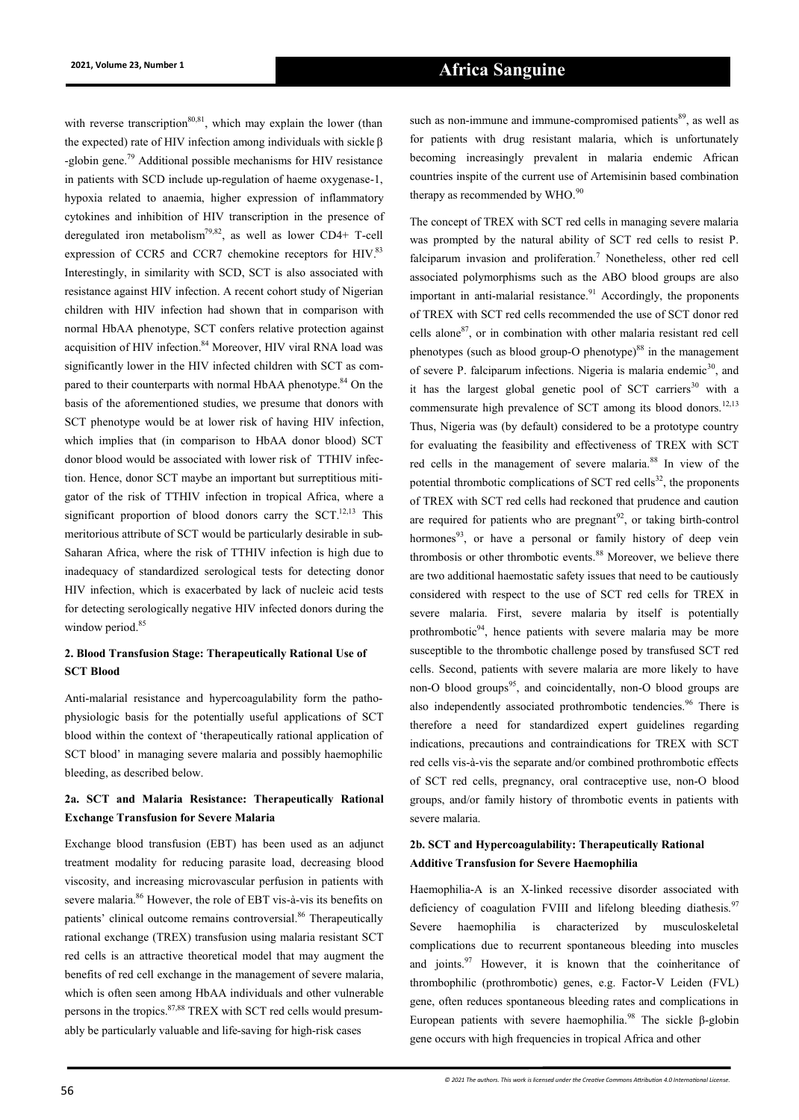with reverse transcription<sup>80,81</sup>, which may explain the lower (than the expected) rate of HIV infection among individuals with sickle β -globin gene.<sup>79</sup> Additional possible mechanisms for HIV resistance in patients with SCD include up-regulation of haeme oxygenase-1, hypoxia related to anaemia, higher expression of inflammatory cytokines and inhibition of HIV transcription in the presence of deregulated iron metabolism<sup>79,82</sup>, as well as lower CD4+ T-cell expression of CCR5 and CCR7 chemokine receptors for HIV.<sup>83</sup> Interestingly, in similarity with SCD, SCT is also associated with resistance against HIV infection. A recent cohort study of Nigerian children with HIV infection had shown that in comparison with normal HbAA phenotype, SCT confers relative protection against acquisition of HIV infection.<sup>84</sup> Moreover, HIV viral RNA load was significantly lower in the HIV infected children with SCT as compared to their counterparts with normal HbAA phenotype.<sup>84</sup> On the basis of the aforementioned studies, we presume that donors with SCT phenotype would be at lower risk of having HIV infection, which implies that (in comparison to HbAA donor blood) SCT donor blood would be associated with lower risk of TTHIV infection. Hence, donor SCT maybe an important but surreptitious mitigator of the risk of TTHIV infection in tropical Africa, where a significant proportion of blood donors carry the  $SCT$ <sup>12,13</sup> This meritorious attribute of SCT would be particularly desirable in sub-Saharan Africa, where the risk of TTHIV infection is high due to inadequacy of standardized serological tests for detecting donor HIV infection, which is exacerbated by lack of nucleic acid tests for detecting serologically negative HIV infected donors during the window period.<sup>85</sup>

## **2. Blood Transfusion Stage: Therapeutically Rational Use of SCT Blood**

Anti-malarial resistance and hypercoagulability form the pathophysiologic basis for the potentially useful applications of SCT blood within the context of 'therapeutically rational application of SCT blood' in managing severe malaria and possibly haemophilic bleeding, as described below.

## **2a. SCT and Malaria Resistance: Therapeutically Rational Exchange Transfusion for Severe Malaria**

Exchange blood transfusion (EBT) has been used as an adjunct treatment modality for reducing parasite load, decreasing blood viscosity, and increasing microvascular perfusion in patients with severe malaria.<sup>86</sup> However, the role of EBT vis-à-vis its benefits on patients' clinical outcome remains controversial.<sup>86</sup> Therapeutically rational exchange (TREX) transfusion using malaria resistant SCT red cells is an attractive theoretical model that may augment the benefits of red cell exchange in the management of severe malaria, which is often seen among HbAA individuals and other vulnerable persons in the tropics.87,88 TREX with SCT red cells would presumably be particularly valuable and life-saving for high-risk cases

such as non-immune and immune-compromised patients<sup>89</sup>, as well as for patients with drug resistant malaria, which is unfortunately becoming increasingly prevalent in malaria endemic African countries inspite of the current use of Artemisinin based combination therapy as recommended by WHO.<sup>90</sup>

The concept of TREX with SCT red cells in managing severe malaria was prompted by the natural ability of SCT red cells to resist P. falciparum invasion and proliferation.<sup>7</sup> Nonetheless, other red cell associated polymorphisms such as the ABO blood groups are also important in anti-malarial resistance.<sup>91</sup> Accordingly, the proponents of TREX with SCT red cells recommended the use of SCT donor red cells alone<sup>87</sup>, or in combination with other malaria resistant red cell phenotypes (such as blood group-O phenotype) $88$  in the management of severe P. falciparum infections. Nigeria is malaria endemic<sup>30</sup>, and it has the largest global genetic pool of SCT carriers<sup>30</sup> with a commensurate high prevalence of SCT among its blood donors.<sup>12,13</sup> Thus, Nigeria was (by default) considered to be a prototype country for evaluating the feasibility and effectiveness of TREX with SCT red cells in the management of severe malaria.<sup>88</sup> In view of the potential thrombotic complications of SCT red cells $^{32}$ , the proponents of TREX with SCT red cells had reckoned that prudence and caution are required for patients who are pregnant<sup>92</sup>, or taking birth-control hormones<sup>93</sup>, or have a personal or family history of deep vein thrombosis or other thrombotic events.<sup>88</sup> Moreover, we believe there are two additional haemostatic safety issues that need to be cautiously considered with respect to the use of SCT red cells for TREX in severe malaria. First, severe malaria by itself is potentially prothrombotic<sup>94</sup>, hence patients with severe malaria may be more susceptible to the thrombotic challenge posed by transfused SCT red cells. Second, patients with severe malaria are more likely to have non-O blood groups<sup>95</sup>, and coincidentally, non-O blood groups are also independently associated prothrombotic tendencies.<sup>96</sup> There is therefore a need for standardized expert guidelines regarding indications, precautions and contraindications for TREX with SCT red cells vis-à-vis the separate and/or combined prothrombotic effects of SCT red cells, pregnancy, oral contraceptive use, non-O blood groups, and/or family history of thrombotic events in patients with severe malaria.

## **2b. SCT and Hypercoagulability: Therapeutically Rational Additive Transfusion for Severe Haemophilia**

Haemophilia-A is an X-linked recessive disorder associated with deficiency of coagulation FVIII and lifelong bleeding diathesis.<sup>97</sup> Severe haemophilia is characterized by musculoskeletal complications due to recurrent spontaneous bleeding into muscles and joints.  $97$  However, it is known that the coinheritance of thrombophilic (prothrombotic) genes, e.g. Factor-V Leiden (FVL) gene, often reduces spontaneous bleeding rates and complications in European patients with severe haemophilia.<sup>98</sup> The sickle β-globin gene occurs with high frequencies in tropical Africa and other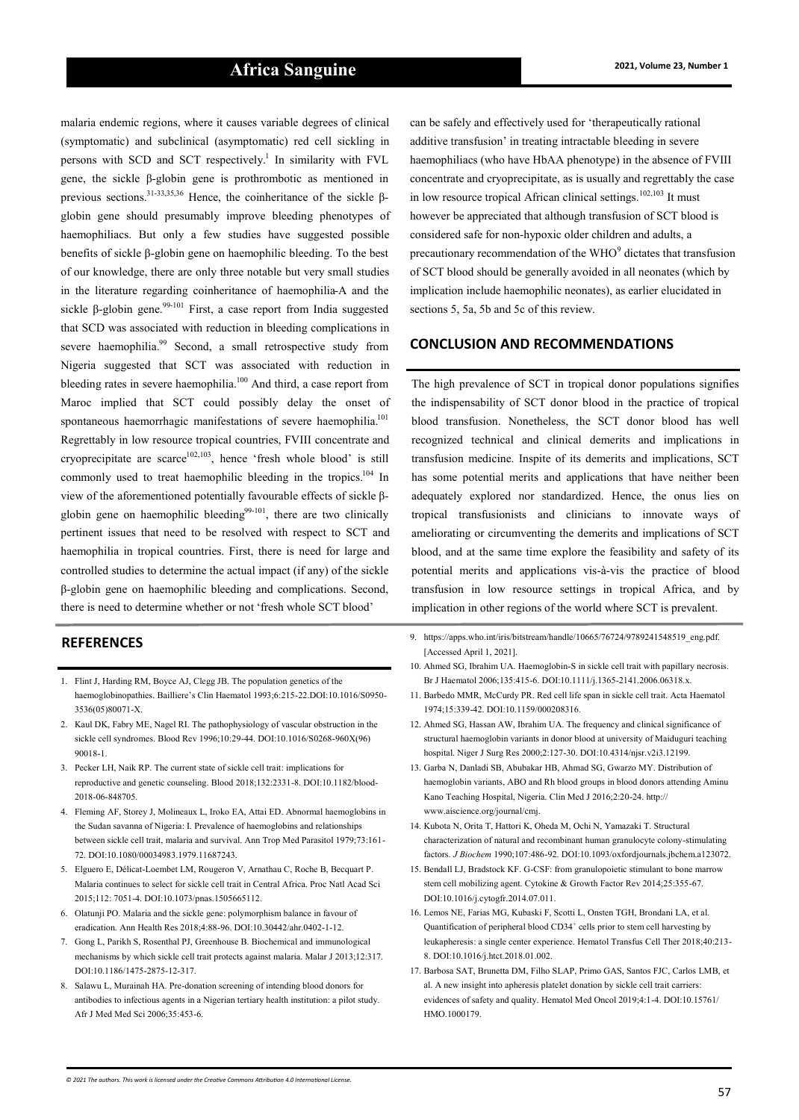malaria endemic regions, where it causes variable degrees of clinical (symptomatic) and subclinical (asymptomatic) red cell sickling in persons with SCD and SCT respectively.<sup>1</sup> In similarity with FVL gene, the sickle β-globin gene is prothrombotic as mentioned in previous sections.<sup>31</sup>-33,35,36 Hence, the coinheritance of the sickle βglobin gene should presumably improve bleeding phenotypes of haemophiliacs. But only a few studies have suggested possible benefits of sickle β-globin gene on haemophilic bleeding. To the best of our knowledge, there are only three notable but very small studies in the literature regarding coinheritance of haemophilia-A and the sickle  $\beta$ -globin gene.<sup>99-101</sup> First, a case report from India suggested that SCD was associated with reduction in bleeding complications in severe haemophilia.<sup>99</sup> Second, a small retrospective study from Nigeria suggested that SCT was associated with reduction in bleeding rates in severe haemophilia.<sup>100</sup> And third, a case report from Maroc implied that SCT could possibly delay the onset of spontaneous haemorrhagic manifestations of severe haemophilia.<sup>101</sup> Regrettably in low resource tropical countries, FVIII concentrate and cryoprecipitate are scarce<sup>102,103</sup>, hence 'fresh whole blood' is still commonly used to treat haemophilic bleeding in the tropics.<sup>104</sup> In view of the aforementioned potentially favourable effects of sickle βglobin gene on haemophilic bleeding $9^{9-101}$ , there are two clinically pertinent issues that need to be resolved with respect to SCT and haemophilia in tropical countries. First, there is need for large and controlled studies to determine the actual impact (if any) of the sickle β-globin gene on haemophilic bleeding and complications. Second, there is need to determine whether or not 'fresh whole SCT blood'

#### **REFERENCES**

- 1. Flint J, Harding RM, Boyce AJ, Clegg JB. The population genetics of the haemoglobinopathies. Bailliere's Clin Haematol 1993;6:215-22.DOI:10.1016/S0950- 3536(05)80071-X.
- 2. Kaul DK, Fabry ME, Nagel RI. The pathophysiology of vascular obstruction in the sickle cell syndromes. Blood Rev 1996;10:29-44. DOI:10.1016/S0268-960X(96) 90018-1.
- 3. Pecker LH, Naik RP. The current state of sickle cell trait: implications for reproductive and genetic counseling. Blood 2018;132:2331-8. DOI:10.1182/blood-2018-06-848705.
- 4. Fleming AF, Storey J, Molineaux L, Iroko EA, Attai ED. Abnormal haemoglobins in the Sudan savanna of Nigeria: I. Prevalence of haemoglobins and relationships between sickle cell trait, malaria and survival. Ann Trop Med Parasitol 1979;73:161- 72. DOI:10.1080/00034983.1979.11687243.
- 5. Elguero E, Délicat-Loembet LM, Rougeron V, Arnathau C, Roche B, Becquart P. Malaria continues to select for sickle cell trait in Central Africa. Proc Natl Acad Sci 2015;112: 7051-4. DOI:10.1073/pnas.1505665112.
- 6. Olatunji PO. Malaria and the sickle gene: polymorphism balance in favour of eradication. Ann Health Res 2018;4:88-96. DOI:10.30442/ahr.0402-1-12.
- 7. Gong L, Parikh S, Rosenthal PJ, Greenhouse B. Biochemical and immunological mechanisms by which sickle cell trait protects against malaria. Malar J 2013;12:317. DOI:10.1186/1475-2875-12-317.
- 8. Salawu L, Murainah HA. Pre-donation screening of intending blood donors for antibodies to infectious agents in a Nigerian tertiary health institution: a pilot study. Afr J Med Med Sci 2006;35:453-6.

can be safely and effectively used for 'therapeutically rational additive transfusion' in treating intractable bleeding in severe haemophiliacs (who have HbAA phenotype) in the absence of FVIII concentrate and cryoprecipitate, as is usually and regrettably the case in low resource tropical African clinical settings.<sup>102,103</sup> It must however be appreciated that although transfusion of SCT blood is considered safe for non-hypoxic older children and adults, a precautionary recommendation of the  $WHO<sup>9</sup>$  dictates that transfusion of SCT blood should be generally avoided in all neonates (which by implication include haemophilic neonates), as earlier elucidated in sections 5, 5a, 5b and 5c of this review.

#### **CONCLUSION AND RECOMMENDATIONS**

The high prevalence of SCT in tropical donor populations signifies the indispensability of SCT donor blood in the practice of tropical blood transfusion. Nonetheless, the SCT donor blood has well recognized technical and clinical demerits and implications in transfusion medicine. Inspite of its demerits and implications, SCT has some potential merits and applications that have neither been adequately explored nor standardized. Hence, the onus lies on tropical transfusionists and clinicians to innovate ways of ameliorating or circumventing the demerits and implications of SCT blood, and at the same time explore the feasibility and safety of its potential merits and applications vis-à-vis the practice of blood transfusion in low resource settings in tropical Africa, and by implication in other regions of the world where SCT is prevalent.

- 9. https://apps.who.int/iris/bitstream/handle/10665/76724/9789241548519\_eng.pdf. [Accessed April 1, 2021].
- 10. Ahmed SG, Ibrahim UA. Haemoglobin-S in sickle cell trait with papillary necrosis. Br J Haematol 2006;135:415-6. DOI:10.1111/j.1365-2141.2006.06318.x.
- 11. Barbedo MMR, McCurdy PR. Red cell life span in sickle cell trait. Acta Haematol 1974;15:339-42. DOI:10.1159/000208316.
- 12. Ahmed SG, Hassan AW, Ibrahim UA. The frequency and clinical significance of structural haemoglobin variants in donor blood at university of Maiduguri teaching hospital. Niger J Surg Res 2000;2:127-30. DOI:10.4314/njsr.v2i3.12199.
- 13. Garba N, Danladi SB, Abubakar HB, Ahmad SG, Gwarzo MY. Distribution of haemoglobin variants, ABO and Rh blood groups in blood donors attending Aminu Kano Teaching Hospital, Nigeria. Clin Med J 2016;2:20-24. http:// www.aiscience.org/journal/cmj.
- 14. Kubota N, Orita T, Hattori K, Oheda M, Ochi N, Yamazaki T. Structural characterization of natural and recombinant human granulocyte colony-stimulating factors. *J Biochem* 1990;107:486-92. DOI:10.1093/oxfordjournals.jbchem.a123072.
- 15. Bendall LJ, Bradstock KF. G-CSF: from granulopoietic stimulant to bone marrow stem cell mobilizing agent. Cytokine & Growth Factor Rev 2014;25:355-67. DOI:10.1016/j.cytogfr.2014.07.011.
- 16. Lemos NE, Farias MG, Kubaski F, Scotti L, Onsten TGH, Brondani LA, et al. Quantification of peripheral blood CD34<sup>+</sup> cells prior to stem cell harvesting by leukapheresis: a single center experience. Hematol Transfus Cell Ther 2018;40:213- 8. DOI:10.1016/j.htct.2018.01.002.
- 17. Barbosa SAT, Brunetta DM, Filho SLAP, Primo GAS, Santos FJC, Carlos LMB, et al. A new insight into apheresis platelet donation by sickle cell trait carriers: evidences of safety and quality. Hematol Med Oncol 2019;4:1-4. DOI:10.15761/ HMO.1000179.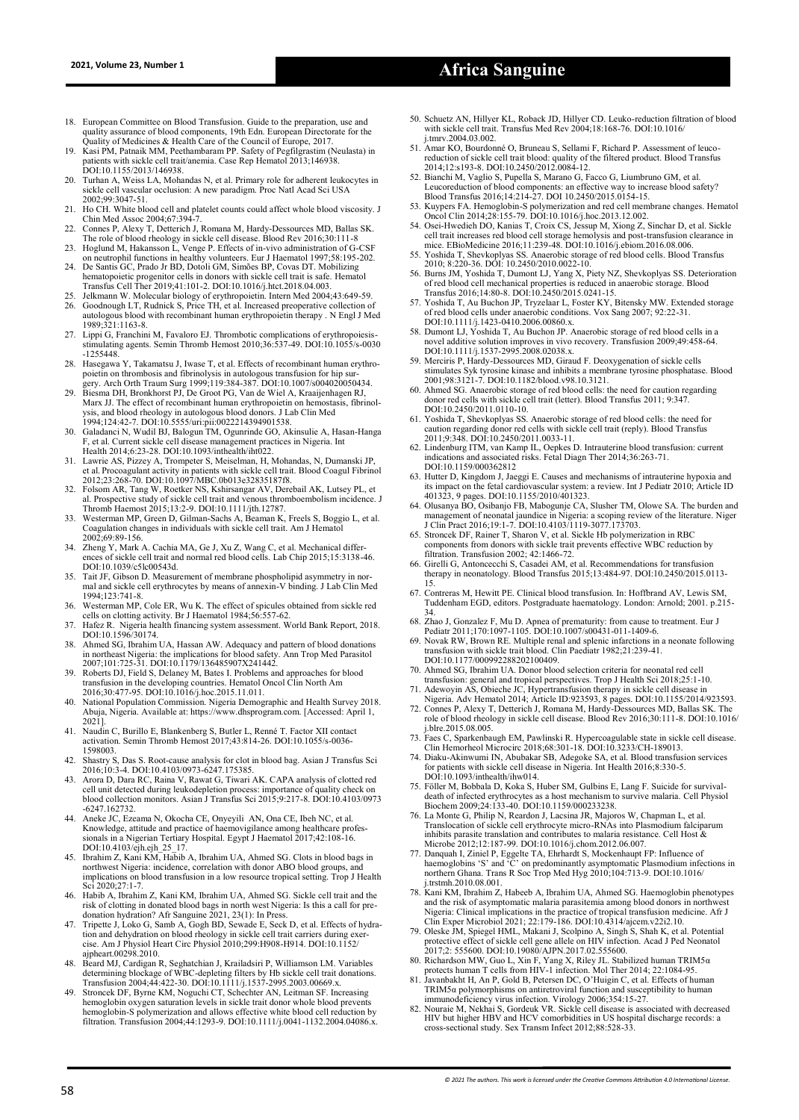# **2021, Volume 23, Number 1 Africa Sanguine**

- 18. European Committee on Blood Transfusion. Guide to the preparation, use and quality assurance of blood components, 19th Edn. European Directorate for the Quality of Medicines & Health Care of the Council of Europe, 2017.
- 19. Kasi PM, Patnaik MM, Peethambaram PP. Safety of Pegfilgrastim (Neulasta) in patients with sickle cell trait/anemia. Case Rep Hematol 2013;146938. DOI:10.1155/2013/146938.
- 20. Turhan A, Weiss LA, Mohandas N, et al. Primary role for adherent leukocytes in sickle cell vascular occlusion: A new paradigm. Proc Natl Acad Sci USA 2002;99:3047-51.
- 21. Ho CH. White blood cell and platelet counts could affect whole blood viscosity. J Chin Med Assoc 2004;67:394‑7. 22. Connes P, Alexy T, Detterich J, Romana M, Hardy‑Dessources MD, Ballas SK.
- 
- The role of blood rheology in sickle cell disease. Blood Rev 2016;30:111-8<br>23. Hoglund M, Hakansson L, Venge P. Effects of in-vivo administration of G-CSF<br>on neutrophil functions in healthy volunteers. Eur J Haematol 1997; 24. De Santis GC, Prado Jr BD, Dotoli GM, Simões BP, Covas DT. Mobilizing hematopoietic progenitor cells in donors with sickle cell trait is safe. Hematol
- Transfus Cell Ther 2019;41:101-2. DOI:10.1016/j.htct.2018.04.003.
- 25. Jelkmann W. Molecular biology of erythropoietin. Intern Med 2004;43:649-59. 26. Goodnough LT, Rudnick S, Price TH, et al. Increased preoperative collection of
- autologous blood with recombinant human erythropoietin therapy . N Engl J Med 1989;321:1163-8.
- 27. Lippi G, Franchini M, Favaloro EJ. Thrombotic complications of erythropoiesis-stimulating agents. Semin Thromb Hemost 2010;36:537-49. DOI:10.1055/s-0030 -1255448.
- 28. Hasegawa Y, Takamatsu J, Iwase T, et al. Effects of recombinant human erythro-poietin on thrombosis and fibrinolysis in autologous transfusion for hip sur-
- gery. Arch Orth Traum Surg 1999;119:384-387. DOI:10.1007/s004020050434. 29. Biesma DH, Bronkhorst PJ, De Groot PG, Van de Wiel A, Kraaijenhagen RJ, Marx JJ. The effect of recombinant human erythropoietin on hemostasis, fibrinolysis, and blood rheology in autologous blood donors. J Lab Clin Med 1994;124:42-7. DOI:10.5555/uri:pii:0022214394901538.
- 30. Galadanci N, Wudil BJ, Balogun TM, Ogunrinde GO, Akinsulie A, Hasan-Hanga F, et al. Current sickle cell disease management practices in Nigeria. Int Health 2014;6:23-28. DOI:10.1093/inthealth/iht022.
- 31. Lawrie AS, Pizzey A, Trompeter S, Meiselman, H, Mohandas, N, Dumanski JP, et al. Procoagulant activity in patients with sickle cell trait. Blood Coagul Fibrinol 2012;23:268-70. DOI:10.1097/MBC.0b013e32835187f8.
- 32. Folsom AR, Tang W, Roetker NS, Kshirsangar AV, Derebail AK, Lutsey PL, et al. Prospective study of sickle cell trait and venous thromboembolism incidence. J Thromb Haemost 2015;13:2-9. DOI:10.1111/jth.12787.
- Westerman MP, Green D, Gilman-Sachs A, Beaman K, Freels S, Boggio L, et al. Coagulation changes in individuals with sickle cell trait. Am J Hematol 2002;69:89-156.
- 34. Zheng Y, Mark A. Cachia MA, Ge J, Xu Z, Wang C, et al. Mechanical differ-ences of sickle cell trait and normal red blood cells. Lab Chip 2015;15:3138-46. DOI:10.1039/c5lc00543d.
- 35. Tait JF, Gibson D. Measurement of membrane phospholipid asymmetry in nor-mal and sickle cell erythrocytes by means of annexin-V binding. J Lab Clin Med 1994;123:741-8.
- 36. Westerman MP, Cole ER, Wu K. The effect of spicules obtained from sickle red cells on clotting activity. Br J Haematol 1984;56:557-62.
- 37. Hafez R. Nigeria health financing system assessment. World Bank Report, 2018. DOI:10.1596/30174.
- 38. Ahmed SG, Ibrahim UA, Hassan AW. Adequacy and pattern of blood donations<br>in northeast Nigeria: the implications for blood safety. Ann Trop Med Parasitol<br>2007;101:725-31. DOI:1079/136485907X241442.<br>Roberts DJ, Field S,
- 
- 2016;30:477-95. DOI:10.1016/j.hoc.2015.11.011. 40. National Population Commission. Nigeria Demographic and Health Survey 2018. Abuja, Nigeria. Available at: https://www.dhsprogram.com. [Accessed: April 1, 2021].
- 41. Naudin C, Burillo E, Blankenberg S, Butler L, Renné T. Factor XII contact activation. Semin Thromb Hemost 2017;43:814-26. DOI:10.1055/s-0036- 1598003.
- 42. Shastry S, Das S. Root-cause analysis for clot in blood bag. Asian J Transfus Sci 2016;10:3-4. DOI:10.4103/0973-6247.175385.
- 43. Arora D, Dara RC, Raina V, Rawat G, Tiwari AK. CAPA analysis of clotted red cell unit detected during leukodepletion process: importance of quality check on blood collection monitors. Asian J Transfus Sci 2015;9:217-8. DOI:10.4103/0973 -6247.162732.
- 44. Aneke JC, Ezeama N, Okocha CE, Onyeyili AN, Ona CE, Ibeh NC, et al.<br>
Knowledge, attitude and practice of haemovigilance among healthcare professionals in a Nigerian Tertiary Hospital. Egypt J Haematol 2017;42:108-16.<br>
- implications on blood transfusion in a low resource tropical setting. Trop J Health Sci 2020;27:1-7.
- 46. Habib A, Ibrahim Z, Kani KM, Ibrahim UA, Ahmed SG. Sickle cell trait and the
- risk of clotting in donated blood bags in north west Nigeria: Is this a call for pre-<br>donation hydration? Afr Sanguine 2021, 23(1): In Press.<br>47. Triptet J, Loko G, Samb A, Gogh BD, Sewade E, Seck D, et al. Effects of hydr ajpheart.00298.2010.
- Beard MJ, Cardigan R, Seghatchian J, Krailadsiri P, Williamson LM. Variables determining blockage of WBC-depleting filters by Hb sickle cell trait donations.<br>Transfusion 2004;44:422-30. DOI:10.1111/j.1537-2995.2003.00669.x.<br>49. Stroncek DF, Byrne KM, Noguchi CT, Schechter AN, Leitman SF. Increasing
- hemoglobin oxygen saturation levels in sickle trait donor whole blood prevents<br>hemoglobin-S polymerization and allows effective white blood cell reduction by<br>filtration. Transfusion 2004;44:1293-9. DOI:10.1111/j.0041-1132.
- 50. Schuetz AN, Hillyer KL, Roback JD, Hillyer CD. Leuko-reduction filtration of blood with sickle cell trait. Transfus Med Rev 2004;18:168-76. DOI:10.1016/ j.tmrv.2004.03.002.
- 51. Amar KO, Bourdonné O, Bruneau S, Sellami F, Richard P. Assessment of leucoreduction of sickle cell trait blood: quality of the filtered product. Blood Transfus<br>2014;12:s193-8. DOI:10.2450/2012.0084-12.<br>52. Bianchi M, Vaglio S, Pupella S, Marano G, Facco G, Liumbruno GM, et al.<br>Leucoreduction of
- 
- 
- Blood Transfus 2016;14:214-27. DOI 10.2450/2015.0154-15.<br>
53. Kuypers FA. Hemoglobin-S polymerization and red cell membrane changes. Hematol<br>
0ncol Clin 2014;28:155-79. DOI:10.1016/j.hoc.2013.12.002.<br>
54. Osei-Hwedieh DO,
- 
- 55. Yoshida T, Shevkoplyas SS. Anaerobic storage of red blood cells. Blood Transfus<br>2010; 8:220-36. DOI: 10.2450/2010.0022-10.<br>56. Burns JM, Yoshida T, Dumont LJ, Yang X, Piety NZ, Shevkoplyas SS. Deterioration<br>of red bloo
- 57. Yoshida T, Au Buchon JP, Tryzelaar L, Foster KY, Bitensky MW. Extended storage of red blood cells under anaerobic conditions. Vox Sang 2007; 92:22-31. DOI:10.1111/j.1423-0410.2006.00860.x.
- 58. Dumont LJ, Yoshida T, Au Buchon JP. Anaerobic storage of red blood cells in a novel additive solution improves in vivo recovery. Transfusion 2009;49:458-64. DOI:10.1111/j.1537-2995.2008.02038.x.
- 59. Merciris P, Hardy-Dessources MD, Giraud F. Deoxygenation of sickle cells stimulates Syk tyrosine kinase and inhibits a membrane tyrosine phosphatase. Blood 2001;98:3121-7. DOI:10.1182/blood.v98.10.3121.
- 60. Ahmed SG. Anaerobic storage of red blood cells: the need for caution regarding donor red cells with sickle cell trait (letter). Blood Transfus 2011; 9:347.
- DOI:10.2450/2011.0110-10. 61. Yoshida T, Shevkoplyas SS. Anaerobic storage of red blood cells: the need for caution regarding donor red cells with sickle cell trait (reply). Blood Transfus
- 2011;9:348. DOI:10.2450/2011.0033-11. 62. Lindenburg ITM, van Kamp IL, Oepkes D. Intrauterine blood transfusion: current indications and associated risks. Fetal Diagn Ther 2014;36:263-71. DOI:10.1159/000362812
- 63. Hutter D, Kingdom J, Jaeggi E. Causes and mechanisms of intrauterine hypoxia and its impact on the fetal cardiovascular system: a review. Int J Pediatr 2010; Article ID 401323, 9 pages. DOI:10.1155/2010/401323.
- 64. Olusanya BO, Osibanjo FB, Mabogunje CA, Slusher TM, Olowe SA. The burden and management of neonatal jaundice in Nigeria: a scoping review of the literature. Niger J Clin Pract 2016;19:1-7. DOI:10.4103/1119-3077.173703. 65. Stroncek DF, Rainer T, Sharon V, et al. Sickle Hb polymerization in RBC
- components from donors with sickle trait prevents effective WBC reduction by filtration. Transfusion 2002; 42:1466-72.
- 66. Girelli G, Antoncecchi S, Casadei AM, et al. Recommendations for transfusion therapy in neonatology. Blood Transfus 2015;13:484-97. DOI:10.2450/2015.0113- 15.
- 67. Contreras M, Hewitt PE. Clinical blood transfusion. In: Hoffbrand AV, Lewis SM, Tuddenham EGD, editors. Postgraduate haematology. London: Arnold; 2001. p.215-
- 34. 68. Zhao J, Gonzalez F, Mu D. Apnea of prematurity: from cause to treatment. Eur J Pediatr 2011;170:1097-1105. DOI:10.1007/s00431-011-1409-6.
- 69. Novak RW, Brown RE. Multiple renal and splenic infarctions in a neonate following transfusion with sickle trait blood. Clin Paediatr 1982;21:239-41. DOI:10.1177/000992288202100409.
- 70. Ahmed SG, Ibrahim UA. Donor blood selection criteria for neonatal red cell transfusion: general and tropical perspectives. Trop J Health Sci 2018;25:1-10.
- 
- 71. Adewoyin AS, Obieche JC, Hypertransfusion therapy in sickle cell disease in<br>Nigeria. Adv Hematol 2014; Article ID:923593, 8 pages. DOI:10.1155/2014/923593.<br>72. Connes P, Alexy T, Deterich J, Romana M, Hardy-Dessources j.blre.2015.08.005.
- 73. Faes C, Sparkenbaugh EM, Pawlinski R. Hypercoagulable state in sickle cell disease. Clin Hemorheol Microcirc 2018;68:301-18. DOI:10.3233/CH-189013.
- 74. Diaku-Akinwumi IN, Abubakar SB, Adegoke SA, et al. Blood transfusion services for patients with sickle cell disease in Nigeria. Int Health 2016;8:330-5. DOI:10.1093/inthealth/ihw014.
- 75. Föller M, Bobbala D, Koka S, Huber SM, Gulbins E, Lang F. Suicide for survivaldeath of infected erythrocytes as a host mechanism to survive malaria. Cell Physiol Biochem 2009;24:133-40. DOI:10.1159/000233238.
- 76. La Monte G, Philip N, Reardon J, Lacsina JR, Majoros W, Chapman L, et al. Translocation of sickle cell erythrocyte micro-RNAs into Plasmodium falciparum inhibits parasite translation and contributes to malaria resistance. Cell Host & Microbe 2012;12:187-99. DOI:10.1016/j.chom.2012.06.007.
- 77. Danquah I, Ziniel P, Eggelte TA, Ehrhardt S, Mockenhaupt FP: Influence of haemoglobins 'S' and 'C' on predominantly asymptomatic Plasmodium infections in northern Ghana. Trans R Soc Trop Med Hyg 2010;104:713-9. DOI:10. .trstmh.2010.08.001.
- 78. Kani KM, Ibrahim Z, Habeeb A, Ibrahim UA, Ahmed SG. Haemoglobin phenotypes and the risk of asymptomatic malaria parasitemia among blood donors in northwest<br>Nigeria: Clinical implications in the practice of tropical transfusion medicine. Afr J<br>Clin Exper Microbiol 2021; 22:179-186. DOI:10.4314/ajc
- 
- 2017;2: 555600. DOI:10.19080/AJPN.2017.02.555600. 80. Richardson MW, Guo L, Xin F, Yang X, Riley JL. Stabilized human TRIM5α protects human T cells from HIV-1 infection. Mol Ther 2014; 22:1084-95.
- 81. Javanbakht H, An P, Gold B, Petersen DC, O'Huigin C, et al. Effects of human TRIM5α polymorphisms on antiretroviral function and susceptibility to human
- immunodeficiency virus infection. Virology 2006;354:15-27.<br>
82. Nouraie M, Nekhai S, Gordeuk VR. Sickle cell disease is associated with decreased HIV but higher HBV and HCV comorbidities in US hospital discharge records: a